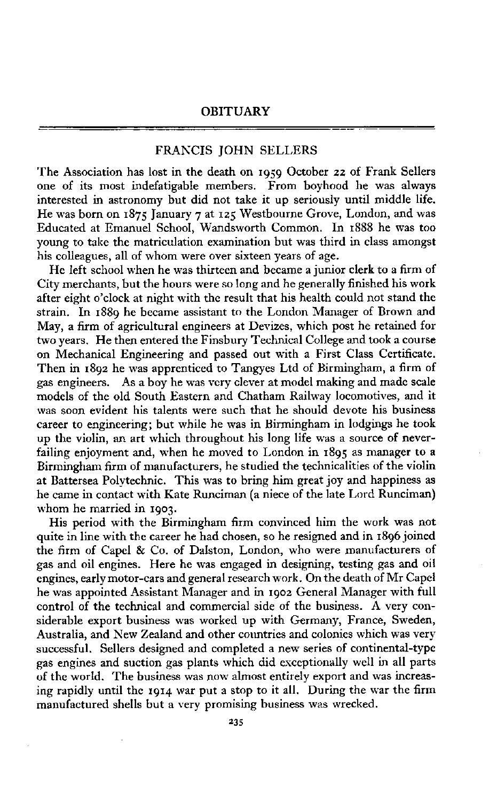## **OBITUAR Y**

## FRANCIS JOHN SELLERS

The Association has lost in the death on 1959 October 22 of Frank Sellers one of its most indefatigable members. From boyhood he was always interested in astronomy but did not take it up seriously until middle life. He was born on 1875 January 7 at 125 Westbourne Grove, London, and was Educated at Emanuel School, Wandsworth Common. In 1888 he was too young to take the matriculation examination but was third in class amongst his colleagues, all of whom were over sixteen years of age.

He left school when he was thirteen and became a junior clerk to a firm of City merchants, but the hours were so long and he generally finished his work after eight o'clock at night with the result that his health could not stand the strain. In 1889 he became assistant to the London Manager of Brown and May, a firm of agricultural engineers at Devizes, which post he retained for two years. He then entered the Finsbury Technical College and took a course on Mechanical Engineering and passed out with a First Class Certificate. Then in 1892 he was apprenticed to Tangyes Ltd of Birmingham, a firm of gas engineers. As a boy he was very clever at model making and made scale models of the old South Eastern and Chatham Railway locomotives, and it was soon evident his talents were such that he should devote his business career to engineering; but while he was in Birmingham in lodgings he took up the violin, an art which throughout his long life was a source of neverfailing enjoyment and, when he moved to London in 1895 as manager to a Birmingham firm of manufacturers, he studied the technicalities of the violin at Battersea Polytechnic. This was to bring him great joy and happiness as he came in contact with Kate Runciman (a niece of the late Lord Runciman) whom he married in 1903.

His period with the Birmingham firm convinced him the work was not quite in line with the career he had chosen, so he resigned and in 1896 joined the firm of Capel & Co. of Dalston, London, who were manufacturers of gas and oil engines. Here he was engaged in designing, testing gas and oil engines, early motor-cars and general research work. On the death of Mr Capel he was appointed Assistant Manager and in 1902 General Manager with full control of the technical and commercial side of the business. A very considerable export business was worked up with Germany, France, Sweden, Australia, and New Zealand and other countries and colonies which was very successful. Sellers designed and completed a new series of continental-type gas engines and suction gas plants which did exceptionally well in all parts of the world. The business was now almost entirely export and was increasing rapidly until the 1914 war put a stop to it all. During the war the firm manufactured shells but a very promising business was wrecked.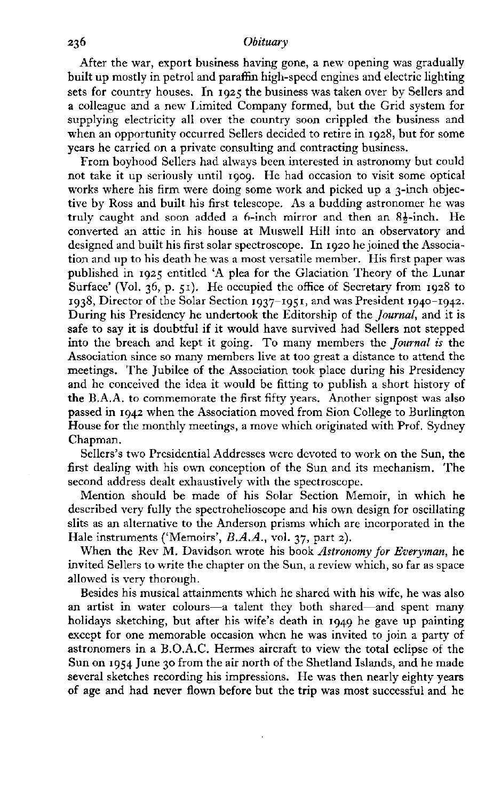## Obituary

After the war, export business having gone, a new opening was gradually built up mostly in petrol and paraffin high-speed engines and electric lighting sets for country houses. In 1925 the business was taken over by Sellers and a colleague and a new Limited Company formed, but the Grid system for supplying electricity all over the country soon crippled the business and when an opportunity occurred Sellers decided to retire in 1928, but for some years he carried on a private consulting and contracting business.

From boyhood Sellers had always been interested in astronomy but could not take it up seriously until 1909. He had occasion to visit some optical works where his firm were doing some work and picked up a 3-inch objective by Ross and built his first telescope. As a budding astronomer he was truly caught and soon added a 6-inch mirror and then an **85**-inch. He converted an attic in his house at Muswell Hill into an observatory and designed and built his first solar spectroscope. In 1920 he joined the Association and up to his death he was a most versatile member. His first paper was published in 1925 entitled Ά plea for the Glaciation Theory of the Lunar Surface' (Vol. 36, p. 51). He occupied the office of Secretary from 1928 to 1938, Director of the Solar Section 1937-1951, and was President 1940-1942. During his Presidency he undertook the Editorship of the *Journal,* and it is safe to say it is doubtful if it would have survived had Sellers not stepped into the breach and kept it going. To many members the *Journal is* the Association since so many members live at too great a distance to attend the meetings. The Jubilee of the Association took place during his Presidency and he conceived the idea it would be fitting to publish a short history of the B.A.A. to commemorate the first fifty years. Another signpost was also passed in 1942 when the Association moved from Sion College to Burlington House for the monthly meetings, a move which originated with Prof. Sydney Chapman.

Sellers's two Presidential Addresses were devoted to work on the Sun, the first dealing with his own conception of the Sun and its mechanism. The second address dealt exhaustively with the spectroscope.

Mention should be made of his Solar Section Memoir, in which he described very fully the spectrohelioscope and his own design for oscillating slits as an alternative to the Anderson prisms which are incorporated in the Hale instruments ('Memoirs', *B.A.A.*, vol. 37, part 2).

When the Rev M. Davidson wrote his book *Astronomy for Everyman,* he invited Sellers to write the chapter on the Sun, a review which, so far as space allowed is very thorough.

Besides his musical attainments which he shared with his wife, he was also an artist in water colours—a talent they both shared—and spent many holidays sketching, but after his wife's death in 1949 he gave up painting except for one memorable occasion when he was invited to join a party of astronomers in a B.O.A.C. Hermes aircraft to view the total eclipse of the Sun on 1954 June 30 from the air north of the Shetland Islands, and he made several sketches recording his impressions. He was then nearly eighty years of age and had never flown before but the trip was most successful and he